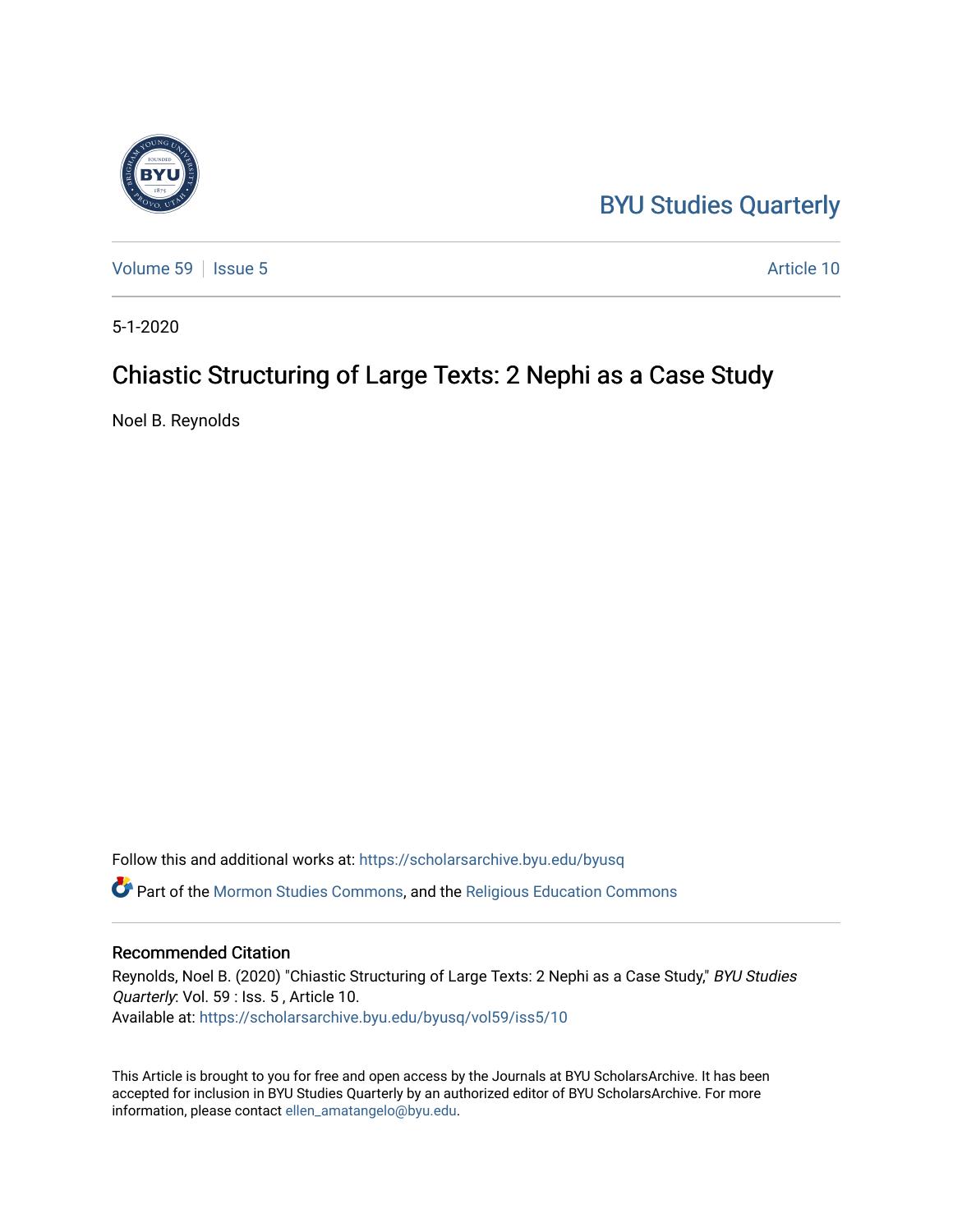# [BYU Studies Quarterly](https://scholarsarchive.byu.edu/byusq)

[Volume 59](https://scholarsarchive.byu.edu/byusq/vol59) | [Issue 5](https://scholarsarchive.byu.edu/byusq/vol59/iss5) Article 10

5-1-2020

# Chiastic Structuring of Large Texts: 2 Nephi as a Case Study

Noel B. Reynolds

Follow this and additional works at: [https://scholarsarchive.byu.edu/byusq](https://scholarsarchive.byu.edu/byusq?utm_source=scholarsarchive.byu.edu%2Fbyusq%2Fvol59%2Fiss5%2F10&utm_medium=PDF&utm_campaign=PDFCoverPages)  Part of the [Mormon Studies Commons](http://network.bepress.com/hgg/discipline/1360?utm_source=scholarsarchive.byu.edu%2Fbyusq%2Fvol59%2Fiss5%2F10&utm_medium=PDF&utm_campaign=PDFCoverPages), and the [Religious Education Commons](http://network.bepress.com/hgg/discipline/1414?utm_source=scholarsarchive.byu.edu%2Fbyusq%2Fvol59%2Fiss5%2F10&utm_medium=PDF&utm_campaign=PDFCoverPages) 

#### Recommended Citation

Reynolds, Noel B. (2020) "Chiastic Structuring of Large Texts: 2 Nephi as a Case Study," BYU Studies Quarterly: Vol. 59 : Iss. 5 , Article 10. Available at: [https://scholarsarchive.byu.edu/byusq/vol59/iss5/10](https://scholarsarchive.byu.edu/byusq/vol59/iss5/10?utm_source=scholarsarchive.byu.edu%2Fbyusq%2Fvol59%2Fiss5%2F10&utm_medium=PDF&utm_campaign=PDFCoverPages) 

This Article is brought to you for free and open access by the Journals at BYU ScholarsArchive. It has been accepted for inclusion in BYU Studies Quarterly by an authorized editor of BYU ScholarsArchive. For more information, please contact [ellen\\_amatangelo@byu.edu.](mailto:ellen_amatangelo@byu.edu)

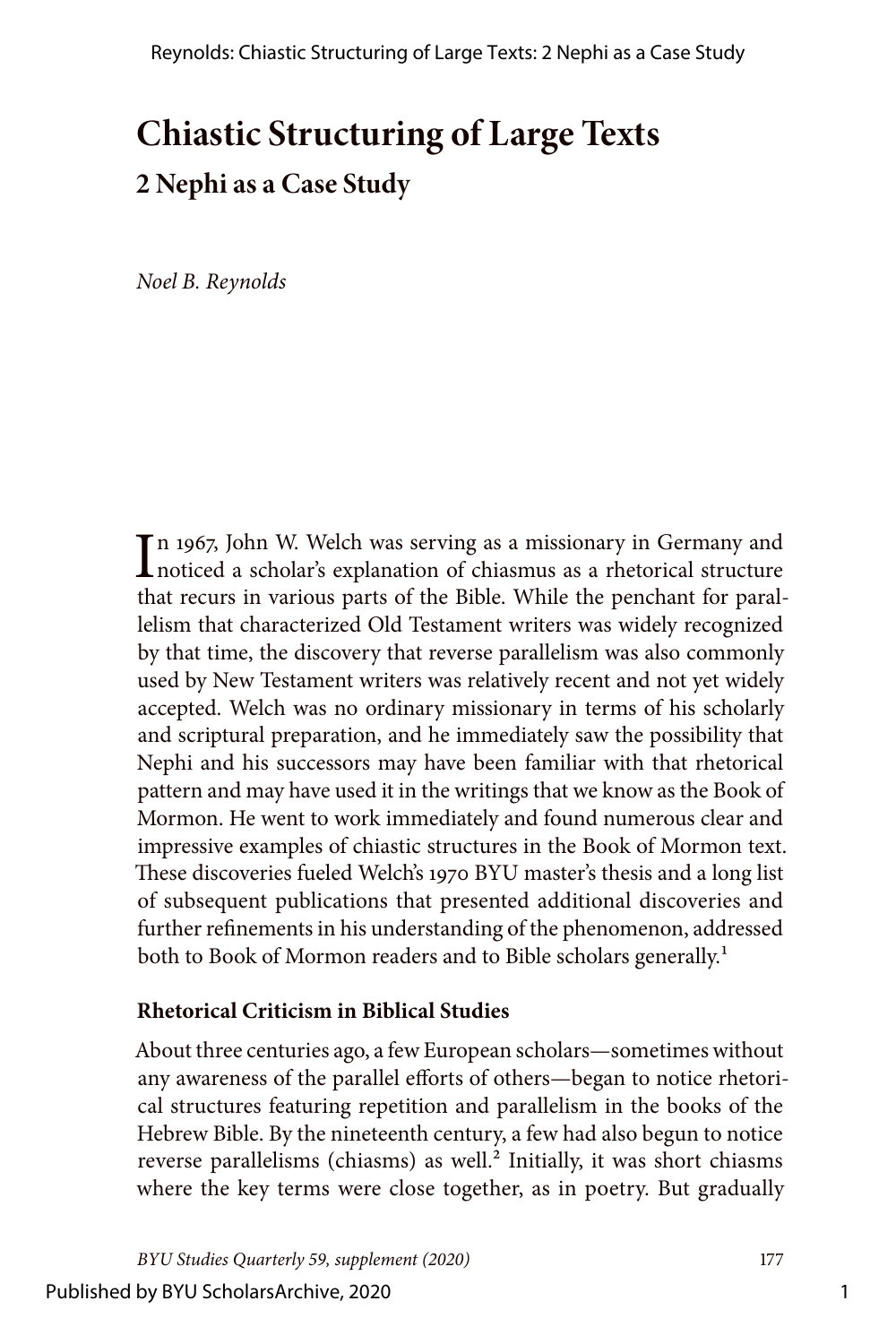# **Chiastic Structuring of Large Texts 2 Nephi as a Case Study**

*Noel B. Reynolds*

In 1967, John W. Welch was serving as a missionary in Germany and noticed a scholar's explanation of chiasmus as a rhetorical structure noticed a scholar's explanation of chiasmus as a rhetorical structure that recurs in various parts of the Bible. While the penchant for parallelism that characterized Old Testament writers was widely recognized by that time, the discovery that reverse parallelism was also commonly used by New Testament writers was relatively recent and not yet widely accepted. Welch was no ordinary missionary in terms of his scholarly and scriptural preparation, and he immediately saw the possibility that Nephi and his successors may have been familiar with that rhetorical pattern and may have used it in the writings that we know as the Book of Mormon. He went to work immediately and found numerous clear and impressive examples of chiastic structures in the Book of Mormon text. These discoveries fueled Welch's 1970 BYU master's thesis and a long list of subsequent publications that presented additional discoveries and further refinements in his understanding of the phenomenon, addressed both to Book of Mormon readers and to Bible scholars generally.<sup>1</sup>

## **Rhetorical Criticism in Biblical Studies**

About three centuries ago, a few European scholars—sometimes without any awareness of the parallel efforts of others—began to notice rhetorical structures featuring repetition and parallelism in the books of the Hebrew Bible. By the nineteenth century, a few had also begun to notice reverse parallelisms (chiasms) as well.<sup>2</sup> Initially, it was short chiasms where the key terms were close together, as in poetry. But gradually

*BYU Studies Quarterly 59, supplement (2020)* 177 Published by BYU ScholarsArchive, 2020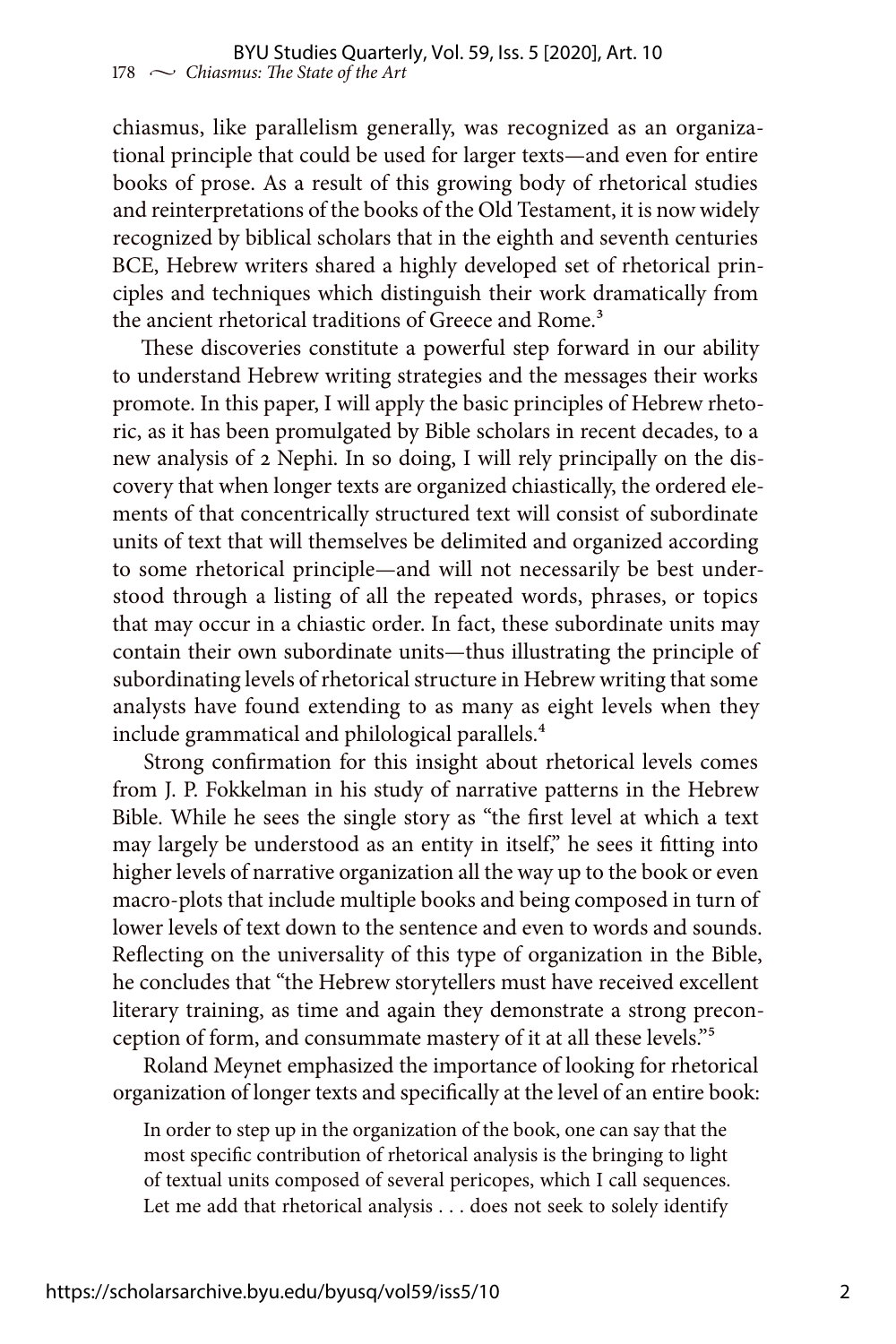chiasmus, like parallelism generally, was recognized as an organizational principle that could be used for larger texts—and even for entire books of prose. As a result of this growing body of rhetorical studies and reinterpretations of the books of the Old Testament, it is now widely recognized by biblical scholars that in the eighth and seventh centuries BCE, Hebrew writers shared a highly developed set of rhetorical principles and techniques which distinguish their work dramatically from the ancient rhetorical traditions of Greece and Rome.<sup>3</sup>

These discoveries constitute a powerful step forward in our ability to understand Hebrew writing strategies and the messages their works promote. In this paper, I will apply the basic principles of Hebrew rhetoric, as it has been promulgated by Bible scholars in recent decades, to a new analysis of 2 Nephi. In so doing, I will rely principally on the discovery that when longer texts are organized chiastically, the ordered elements of that concentrically structured text will consist of subordinate units of text that will themselves be delimited and organized according to some rhetorical principle—and will not necessarily be best understood through a listing of all the repeated words, phrases, or topics that may occur in a chiastic order. In fact, these subordinate units may contain their own subordinate units—thus illustrating the principle of subordinating levels of rhetorical structure in Hebrew writing that some analysts have found extending to as many as eight levels when they include grammatical and philological parallels.<sup>4</sup>

Strong confirmation for this insight about rhetorical levels comes from J. P. Fokkelman in his study of narrative patterns in the Hebrew Bible. While he sees the single story as "the first level at which a text may largely be understood as an entity in itself," he sees it fitting into higher levels of narrative organization all the way up to the book or even macro-plots that include multiple books and being composed in turn of lower levels of text down to the sentence and even to words and sounds. Reflecting on the universality of this type of organization in the Bible, he concludes that "the Hebrew storytellers must have received excellent literary training, as time and again they demonstrate a strong preconception of form, and consummate mastery of it at all these levels."5

Roland Meynet emphasized the importance of looking for rhetorical organization of longer texts and specifically at the level of an entire book:

In order to step up in the organization of the book, one can say that the most specific contribution of rhetorical analysis is the bringing to light of textual units composed of several pericopes, which I call sequences. Let me add that rhetorical analysis . . . does not seek to solely identify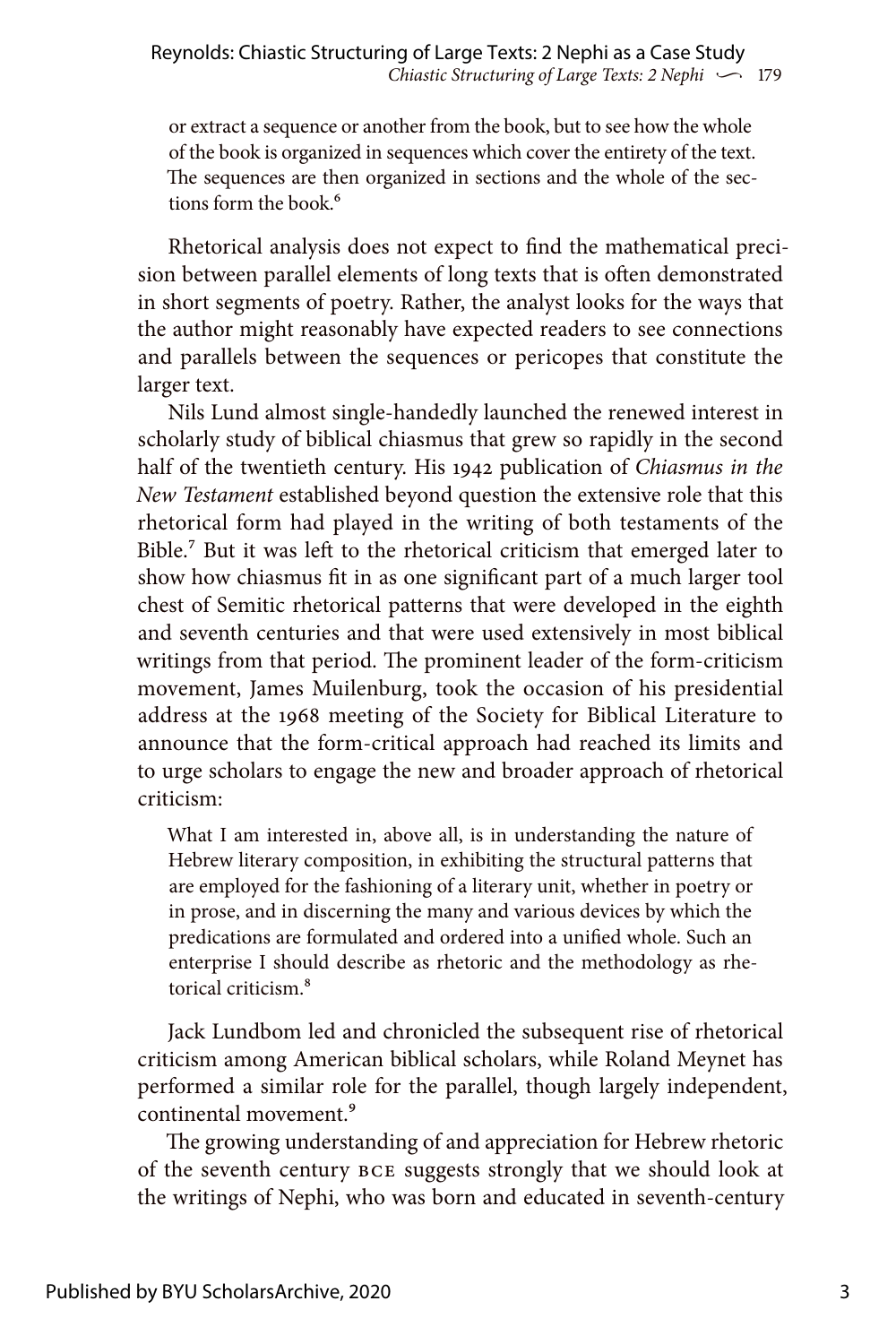or extract a sequence or another from the book, but to see how the whole of the book is organized in sequences which cover the entirety of the text. The sequences are then organized in sections and the whole of the sections form the book.<sup>6</sup>

Rhetorical analysis does not expect to find the mathematical precision between parallel elements of long texts that is often demonstrated in short segments of poetry. Rather, the analyst looks for the ways that the author might reasonably have expected readers to see connections and parallels between the sequences or pericopes that constitute the larger text.

Nils Lund almost single-handedly launched the renewed interest in scholarly study of biblical chiasmus that grew so rapidly in the second half of the twentieth century. His 1942 publication of *Chiasmus in the New Testament* established beyond question the extensive role that this rhetorical form had played in the writing of both testaments of the Bible.<sup>7</sup> But it was left to the rhetorical criticism that emerged later to show how chiasmus fit in as one significant part of a much larger tool chest of Semitic rhetorical patterns that were developed in the eighth and seventh centuries and that were used extensively in most biblical writings from that period. The prominent leader of the form-criticism movement, James Muilenburg, took the occasion of his presidential address at the 1968 meeting of the Society for Biblical Literature to announce that the form-critical approach had reached its limits and to urge scholars to engage the new and broader approach of rhetorical criticism:

What I am interested in, above all, is in understanding the nature of Hebrew literary composition, in exhibiting the structural patterns that are employed for the fashioning of a literary unit, whether in poetry or in prose, and in discerning the many and various devices by which the predications are formulated and ordered into a unified whole. Such an enterprise I should describe as rhetoric and the methodology as rhetorical criticism.8

Jack Lundbom led and chronicled the subsequent rise of rhetorical criticism among American biblical scholars, while Roland Meynet has performed a similar role for the parallel, though largely independent, continental movement.<sup>9</sup>

The growing understanding of and appreciation for Hebrew rhetoric of the seventh century BCE suggests strongly that we should look at the writings of Nephi, who was born and educated in seventh-century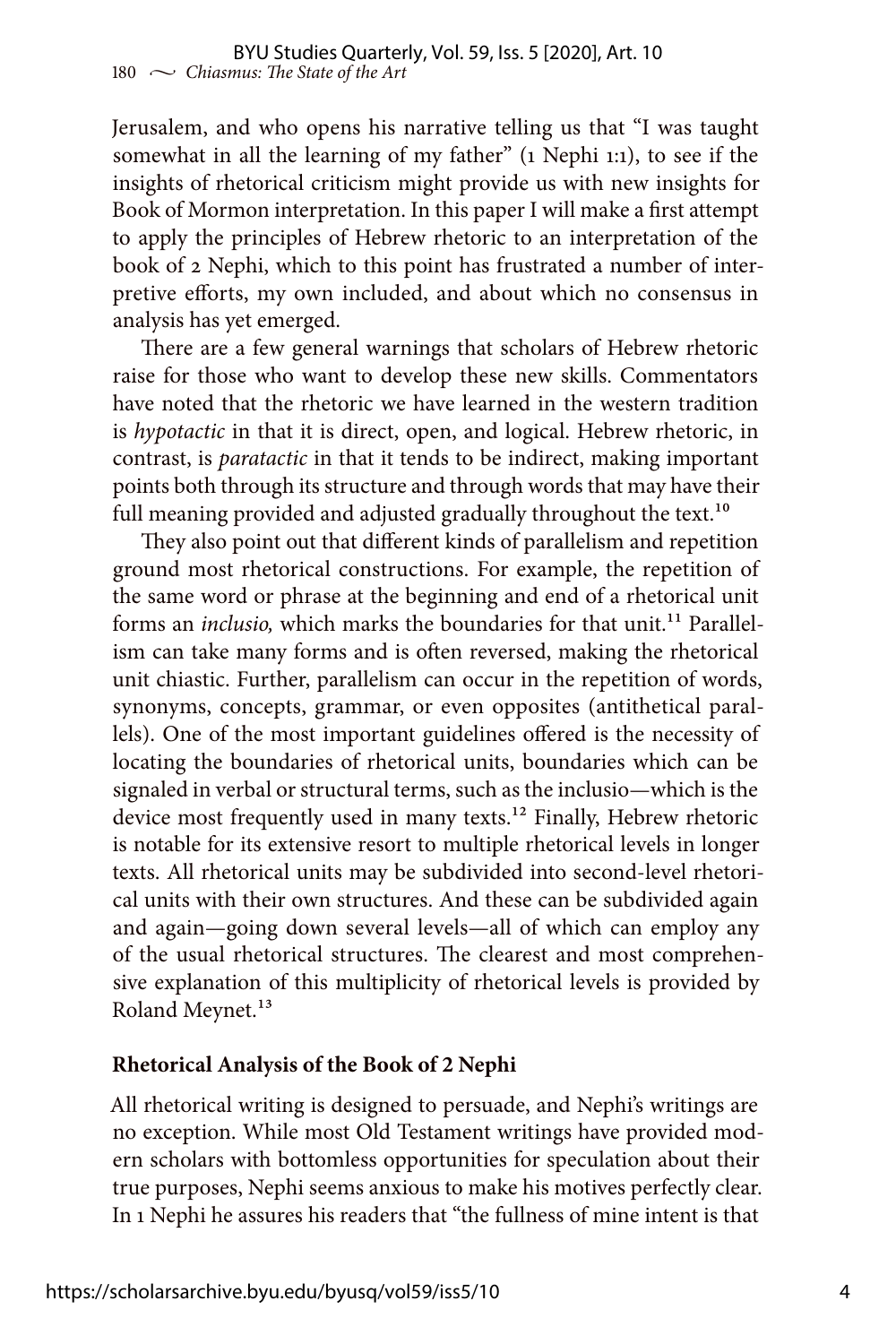Jerusalem, and who opens his narrative telling us that "I was taught somewhat in all the learning of my father" (1 Nephi 1:1), to see if the insights of rhetorical criticism might provide us with new insights for Book of Mormon interpretation. In this paper I will make a first attempt to apply the principles of Hebrew rhetoric to an interpretation of the book of 2 Nephi, which to this point has frustrated a number of interpretive efforts, my own included, and about which no consensus in analysis has yet emerged.

There are a few general warnings that scholars of Hebrew rhetoric raise for those who want to develop these new skills. Commentators have noted that the rhetoric we have learned in the western tradition is *hypotactic* in that it is direct, open, and logical. Hebrew rhetoric, in contrast, is *paratactic* in that it tends to be indirect, making important points both through its structure and through words that may have their full meaning provided and adjusted gradually throughout the text.<sup>10</sup>

They also point out that different kinds of parallelism and repetition ground most rhetorical constructions. For example, the repetition of the same word or phrase at the beginning and end of a rhetorical unit forms an *inclusio*, which marks the boundaries for that unit.<sup>11</sup> Parallelism can take many forms and is often reversed, making the rhetorical unit chiastic. Further, parallelism can occur in the repetition of words, synonyms, concepts, grammar, or even opposites (antithetical parallels). One of the most important guidelines offered is the necessity of locating the boundaries of rhetorical units, boundaries which can be signaled in verbal or structural terms, such as the inclusio—which is the device most frequently used in many texts.<sup>12</sup> Finally, Hebrew rhetoric is notable for its extensive resort to multiple rhetorical levels in longer texts. All rhetorical units may be subdivided into second-level rhetorical units with their own structures. And these can be subdivided again and again—going down several levels—all of which can employ any of the usual rhetorical structures. The clearest and most comprehensive explanation of this multiplicity of rhetorical levels is provided by Roland Meynet.<sup>13</sup>

#### **Rhetorical Analysis of the Book of 2 Nephi**

All rhetorical writing is designed to persuade, and Nephi's writings are no exception. While most Old Testament writings have provided modern scholars with bottomless opportunities for speculation about their true purposes, Nephi seems anxious to make his motives perfectly clear. In 1 Nephi he assures his readers that "the fullness of mine intent is that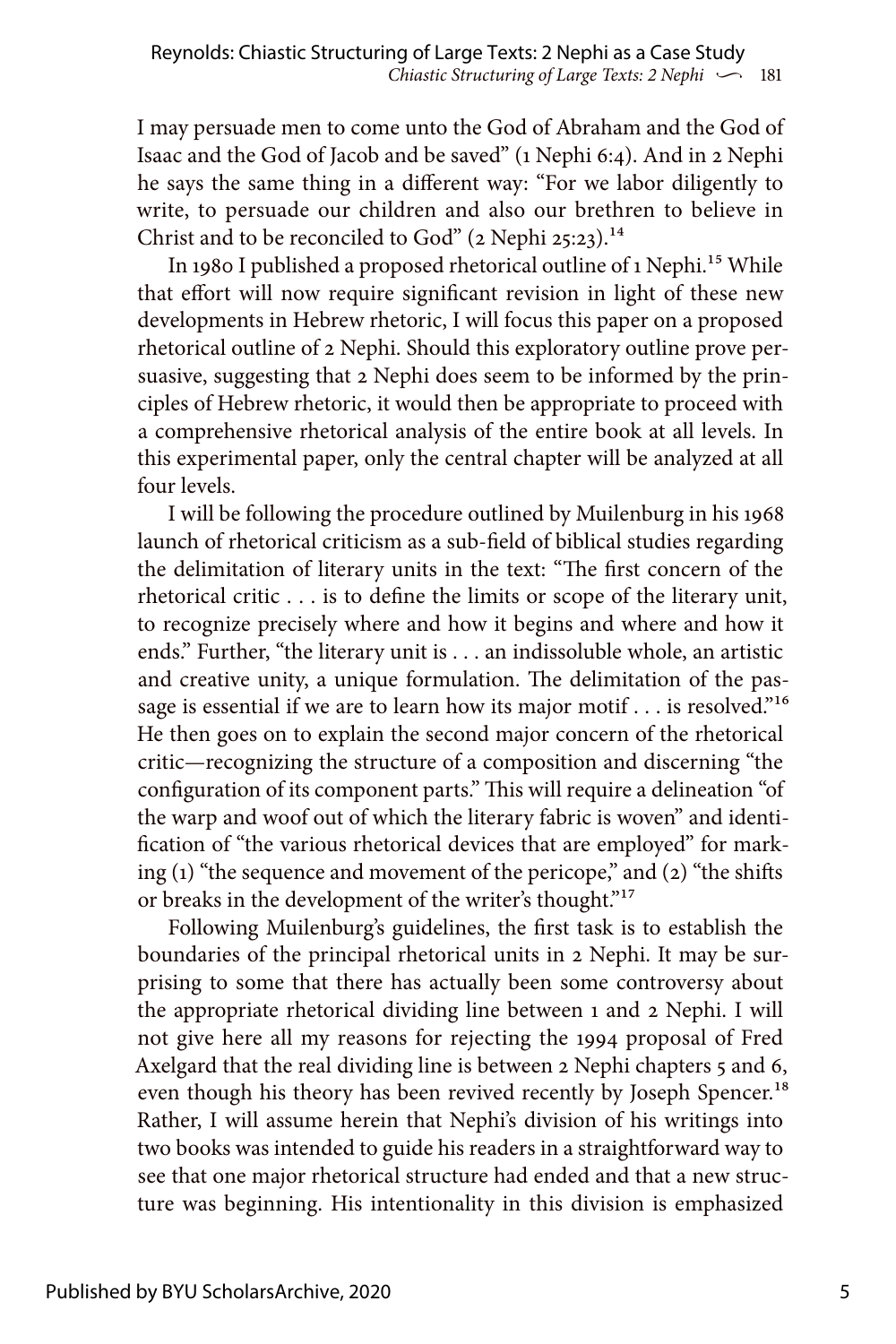I may persuade men to come unto the God of Abraham and the God of Isaac and the God of Jacob and be saved" (1 Nephi 6:4). And in 2 Nephi he says the same thing in a different way: "For we labor diligently to write, to persuade our children and also our brethren to believe in Christ and to be reconciled to God" (2 Nephi 25:23).<sup>14</sup>

In 1980 I published a proposed rhetorical outline of 1 Nephi.<sup>15</sup> While that effort will now require significant revision in light of these new developments in Hebrew rhetoric, I will focus this paper on a proposed rhetorical outline of 2 Nephi. Should this exploratory outline prove persuasive, suggesting that 2 Nephi does seem to be informed by the principles of Hebrew rhetoric, it would then be appropriate to proceed with a comprehensive rhetorical analysis of the entire book at all levels. In this experimental paper, only the central chapter will be analyzed at all four levels.

I will be following the procedure outlined by Muilenburg in his 1968 launch of rhetorical criticism as a sub-field of biblical studies regarding the delimitation of literary units in the text: "The first concern of the rhetorical critic . . . is to define the limits or scope of the literary unit, to recognize precisely where and how it begins and where and how it ends." Further, "the literary unit is . . . an indissoluble whole, an artistic and creative unity, a unique formulation. The delimitation of the passage is essential if we are to learn how its major motif . . . is resolved."<sup>16</sup> He then goes on to explain the second major concern of the rhetorical critic—recognizing the structure of a composition and discerning "the configuration of its component parts." This will require a delineation "of the warp and woof out of which the literary fabric is woven" and identification of "the various rhetorical devices that are employed" for marking  $(1)$  "the sequence and movement of the pericope," and  $(2)$  "the shifts" or breaks in the development of the writer's thought."<sup>17</sup>

Following Muilenburg's guidelines, the first task is to establish the boundaries of the principal rhetorical units in 2 Nephi. It may be surprising to some that there has actually been some controversy about the appropriate rhetorical dividing line between 1 and 2 Nephi. I will not give here all my reasons for rejecting the 1994 proposal of Fred Axelgard that the real dividing line is between 2 Nephi chapters 5 and 6, even though his theory has been revived recently by Joseph Spencer.<sup>18</sup> Rather, I will assume herein that Nephi's division of his writings into two books was intended to guide his readers in a straightforward way to see that one major rhetorical structure had ended and that a new structure was beginning. His intentionality in this division is emphasized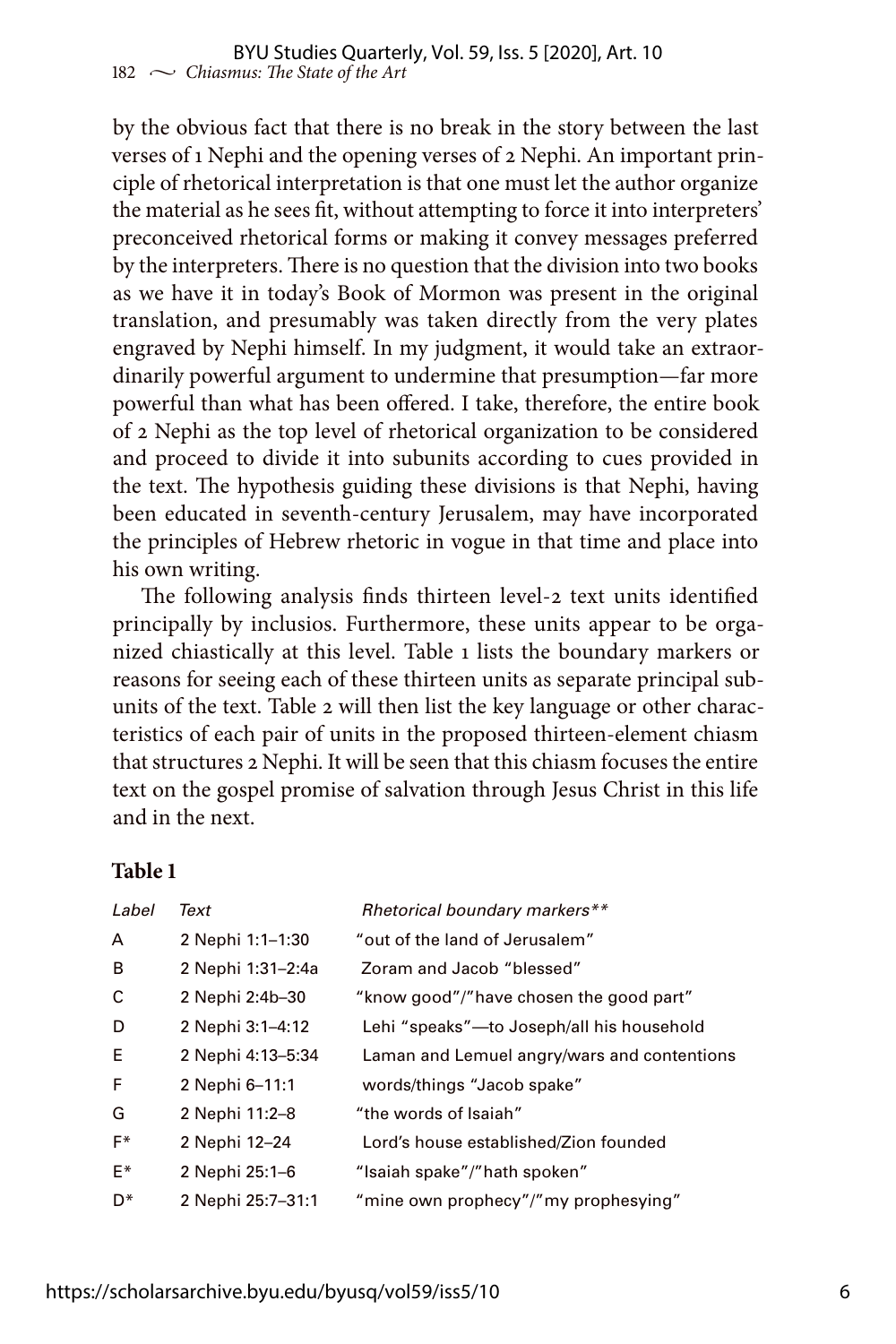by the obvious fact that there is no break in the story between the last verses of 1 Nephi and the opening verses of 2 Nephi. An important principle of rhetorical interpretation is that one must let the author organize the material as he sees fit, without attempting to force it into interpreters' preconceived rhetorical forms or making it convey messages preferred by the interpreters. There is no question that the division into two books as we have it in today's Book of Mormon was present in the original translation, and presumably was taken directly from the very plates engraved by Nephi himself. In my judgment, it would take an extraordinarily powerful argument to undermine that presumption—far more powerful than what has been offered. I take, therefore, the entire book of 2 Nephi as the top level of rhetorical organization to be considered and proceed to divide it into subunits according to cues provided in the text. The hypothesis guiding these divisions is that Nephi, having been educated in seventh-century Jerusalem, may have incorporated the principles of Hebrew rhetoric in vogue in that time and place into his own writing.

The following analysis finds thirteen level-2 text units identified principally by inclusios. Furthermore, these units appear to be organized chiastically at this level. Table 1 lists the boundary markers or reasons for seeing each of these thirteen units as separate principal subunits of the text. Table 2 will then list the key language or other characteristics of each pair of units in the proposed thirteen-element chiasm that structures 2 Nephi. It will be seen that this chiasm focuses the entire text on the gospel promise of salvation through Jesus Christ in this life and in the next.

#### **Table 1**

| Label          | Text              | Rhetorical boundary markers**               |
|----------------|-------------------|---------------------------------------------|
| A              | 2 Nephi 1:1-1:30  | "out of the land of Jerusalem"              |
| B              | 2 Nephi 1:31-2:4a | Zoram and Jacob "blessed"                   |
| C              | 2 Nephi 2:4b-30   | "know good"/"have chosen the good part"     |
| D              | 2 Nephi 3:1-4:12  | Lehi "speaks"-to Joseph/all his household   |
| E              | 2 Nephi 4:13-5:34 | Laman and Lemuel angry/wars and contentions |
| F              | 2 Nephi 6-11:1    | words/things "Jacob spake"                  |
| G              | 2 Nephi 11:2-8    | "the words of Isaiah"                       |
| $F^*$          | 2 Nephi 12-24     | Lord's house established/Zion founded       |
| F*             | 2 Nephi 25:1-6    | "Isaiah spake"/"hath spoken"                |
| D <sup>*</sup> | 2 Nephi 25:7-31:1 | "mine own prophecy"/"my prophesying"        |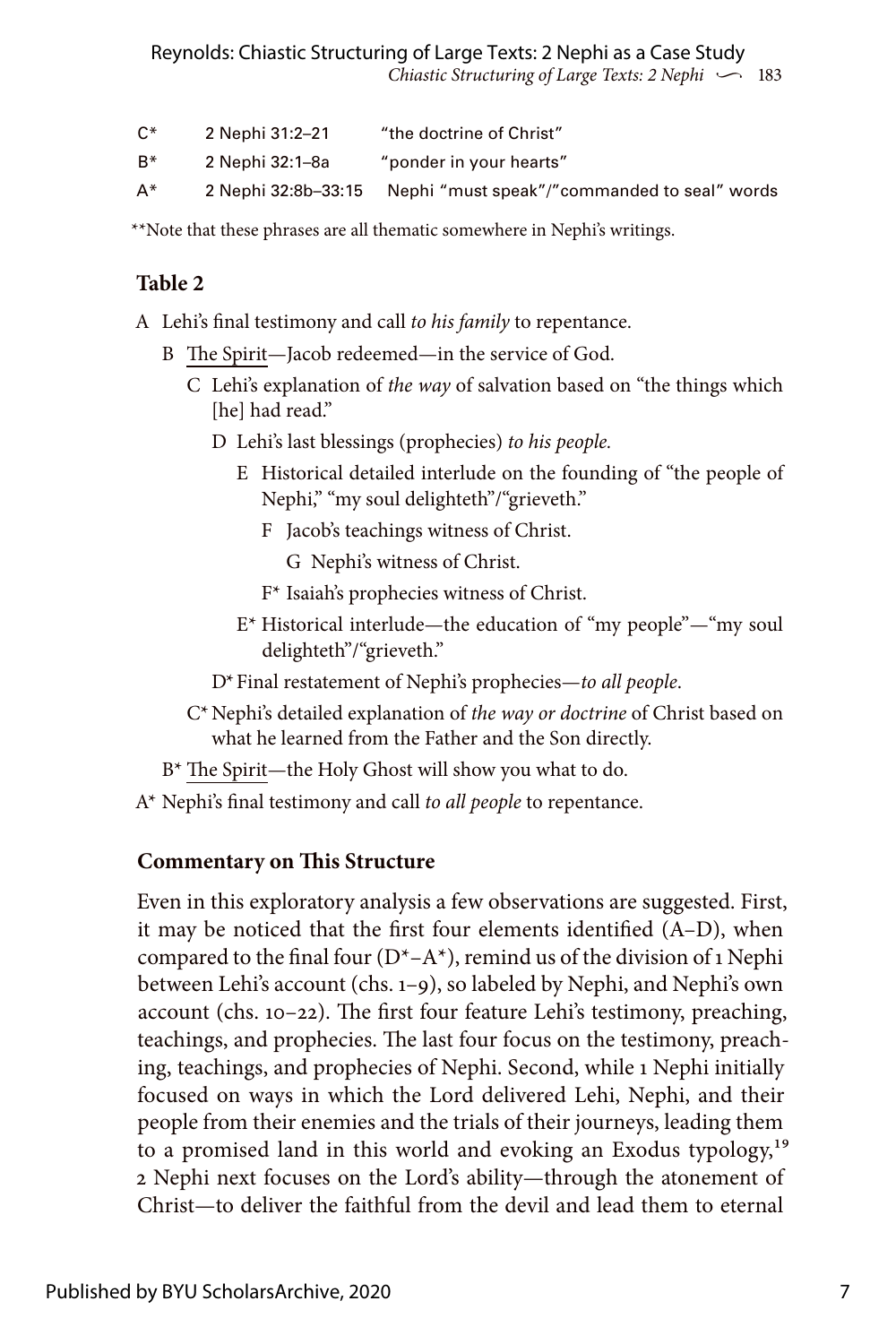| $C^*$ | 2 Nephi 31:2–21     | "the doctrine of Christ"                     |
|-------|---------------------|----------------------------------------------|
| B*    | 2 Nephi 32:1–8a     | "ponder in your hearts"                      |
| A*    | 2 Nephi 32:8b-33:15 | Nephi "must speak"/"commanded to seal" words |

\*\*Note that these phrases are all thematic somewhere in Nephi's writings.

## **Table 2**

A Lehi's final testimony and call *to his family* to repentance.

- B The Spirit—Jacob redeemed—in the service of God.
	- C Lehi's explanation of *the way* of salvation based on "the things which [he] had read."
		- D Lehi's last blessings (prophecies) *to his people.*
			- E Historical detailed interlude on the founding of "the people of Nephi," "my soul delighteth"/"grieveth."
				- F Jacob's teachings witness of Christ.
					- G Nephi's witness of Christ.
				- F\* Isaiah's prophecies witness of Christ.
			- E\* Historical interlude—the education of "my people"—"my soul delighteth"/"grieveth."
		- D\*Final restatement of Nephi's prophecies—*to all people*.
	- C\*Nephi's detailed explanation of *the way or doctrine* of Christ based on what he learned from the Father and the Son directly.
- B\* The Spirit—the Holy Ghost will show you what to do.
- A\* Nephi's final testimony and call *to all people* to repentance.

## **Commentary on This Structure**

Even in this exploratory analysis a few observations are suggested. First, it may be noticed that the first four elements identified (A–D), when compared to the final four  $(D^*–A^*)$ , remind us of the division of 1 Nephi between Lehi's account (chs. 1–9), so labeled by Nephi, and Nephi's own account (chs. 10–22). The first four feature Lehi's testimony, preaching, teachings, and prophecies. The last four focus on the testimony, preaching, teachings, and prophecies of Nephi. Second, while 1 Nephi initially focused on ways in which the Lord delivered Lehi, Nephi, and their people from their enemies and the trials of their journeys, leading them to a promised land in this world and evoking an Exodus typology,<sup>19</sup> 2 Nephi next focuses on the Lord's ability—through the atonement of Christ—to deliver the faithful from the devil and lead them to eternal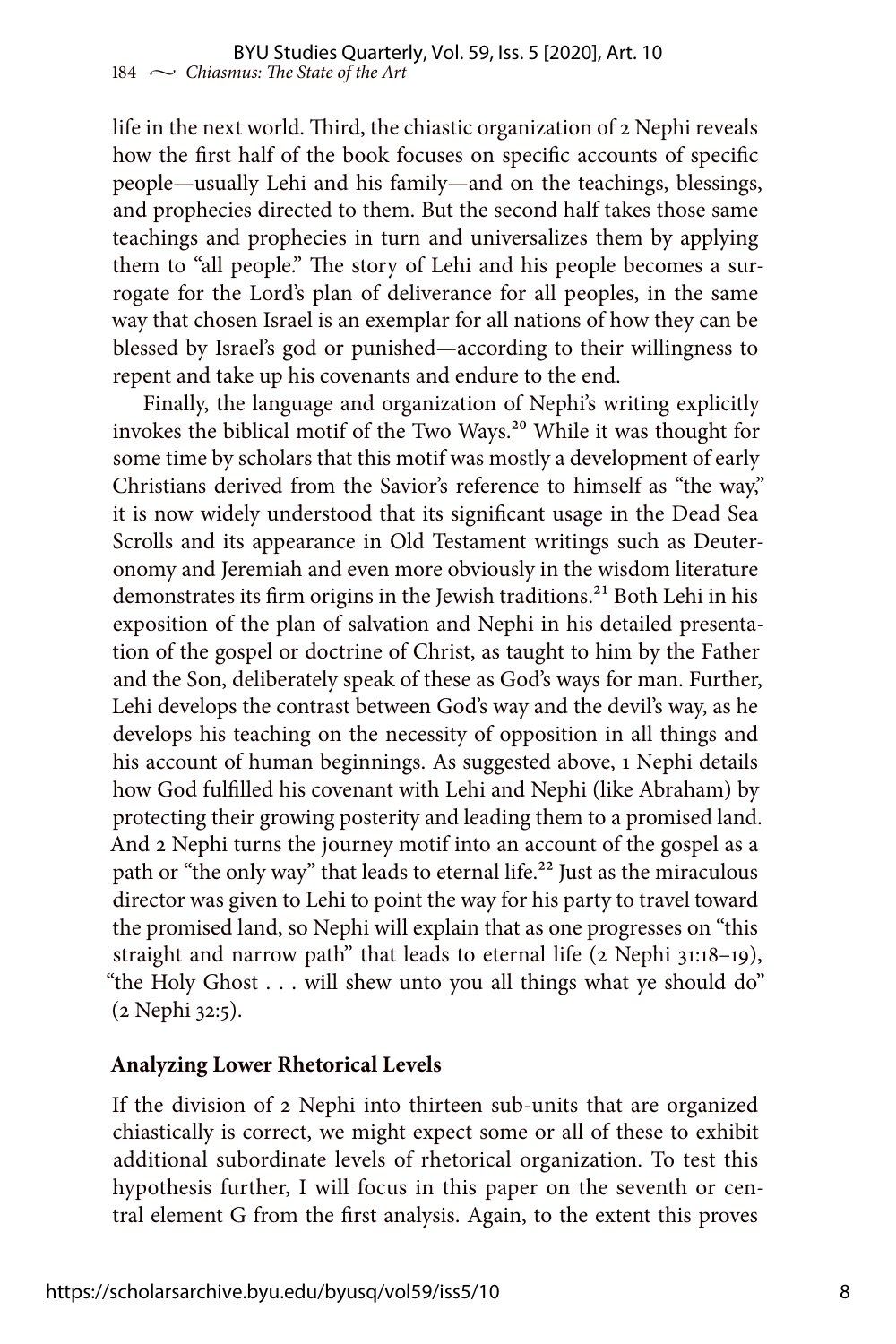life in the next world. Third, the chiastic organization of 2 Nephi reveals how the first half of the book focuses on specific accounts of specific people—usually Lehi and his family—and on the teachings, blessings, and prophecies directed to them. But the second half takes those same teachings and prophecies in turn and universalizes them by applying them to "all people." The story of Lehi and his people becomes a surrogate for the Lord's plan of deliverance for all peoples, in the same way that chosen Israel is an exemplar for all nations of how they can be blessed by Israel's god or punished—according to their willingness to repent and take up his covenants and endure to the end.

Finally, the language and organization of Nephi's writing explicitly invokes the biblical motif of the Two Ways.<sup>20</sup> While it was thought for some time by scholars that this motif was mostly a development of early Christians derived from the Savior's reference to himself as "the way," it is now widely understood that its significant usage in the Dead Sea Scrolls and its appearance in Old Testament writings such as Deuteronomy and Jeremiah and even more obviously in the wisdom literature demonstrates its firm origins in the Jewish traditions.<sup>21</sup> Both Lehi in his exposition of the plan of salvation and Nephi in his detailed presentation of the gospel or doctrine of Christ, as taught to him by the Father and the Son, deliberately speak of these as God's ways for man. Further, Lehi develops the contrast between God's way and the devil's way, as he develops his teaching on the necessity of opposition in all things and his account of human beginnings. As suggested above, 1 Nephi details how God fulfilled his covenant with Lehi and Nephi (like Abraham) by protecting their growing posterity and leading them to a promised land. And 2 Nephi turns the journey motif into an account of the gospel as a path or "the only way" that leads to eternal life.<sup>22</sup> Just as the miraculous director was given to Lehi to point the way for his party to travel toward the promised land, so Nephi will explain that as one progresses on "this straight and narrow path" that leads to eternal life (2 Nephi 31:18–19), "the Holy Ghost . . . will shew unto you all things what ye should do" (2 Nephi 32:5).

#### **Analyzing Lower Rhetorical Levels**

If the division of 2 Nephi into thirteen sub-units that are organized chiastically is correct, we might expect some or all of these to exhibit additional subordinate levels of rhetorical organization. To test this hypothesis further, I will focus in this paper on the seventh or central element G from the first analysis. Again, to the extent this proves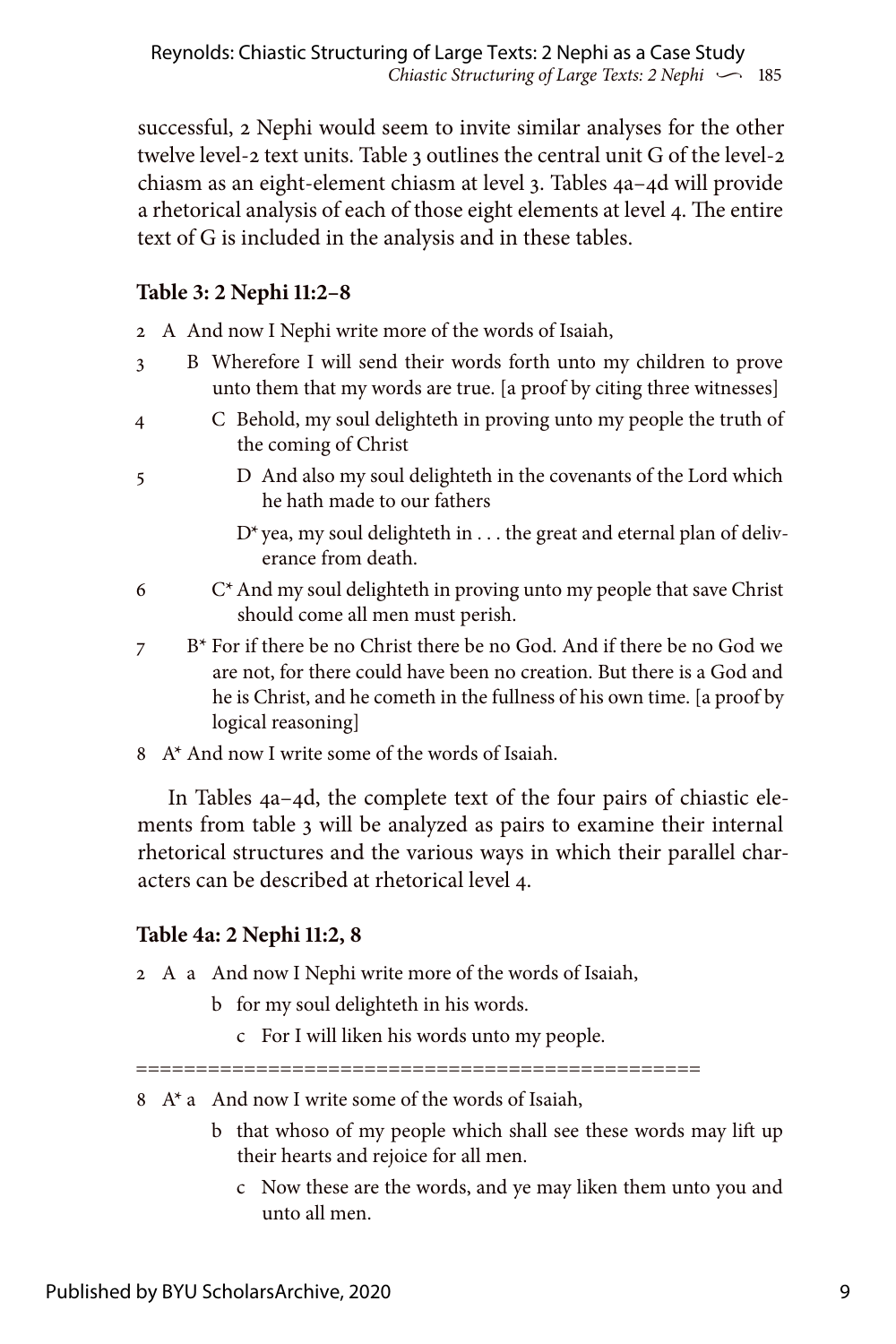successful, 2 Nephi would seem to invite similar analyses for the other twelve level-2 text units. Table 3 outlines the central unit G of the level-2 chiasm as an eight-element chiasm at level 3. Tables 4a–4d will provide a rhetorical analysis of each of those eight elements at level 4. The entire text of G is included in the analysis and in these tables.

# **Table 3: 2 Nephi 11:2–8**

- 2 A And now I Nephi write more of the words of Isaiah,
- 3 B Wherefore I will send their words forth unto my children to prove unto them that my words are true. [a proof by citing three witnesses]
- 4 C Behold, my soul delighteth in proving unto my people the truth of the coming of Christ
- 
- 5 D And also my soul delighteth in the covenants of the Lord which he hath made to our fathers
	- D\*yea, my soul delighteth in . . . the great and eternal plan of deliverance from death.
- $6 \t C<sup>*</sup>$  And my soul delighteth in proving unto my people that save Christ should come all men must perish.
- 7 B<sup>\*</sup> For if there be no Christ there be no God. And if there be no God we are not, for there could have been no creation. But there is a God and he is Christ, and he cometh in the fullness of his own time. [a proof by logical reasoning]
- 8 A\* And now I write some of the words of Isaiah.

In Tables 4a–4d, the complete text of the four pairs of chiastic elements from table 3 will be analyzed as pairs to examine their internal rhetorical structures and the various ways in which their parallel characters can be described at rhetorical level 4.

# **Table 4a: 2 Nephi 11:2, 8**

2 A a And now I Nephi write more of the words of Isaiah,

- b for my soul delighteth in his words.
	- c For I will liken his words unto my people.

===============================================

- $8 \text{ A}^*$  a And now I write some of the words of Isaiah,
	- b that whoso of my people which shall see these words may lift up their hearts and rejoice for all men.
		- c Now these are the words, and ye may liken them unto you and unto all men.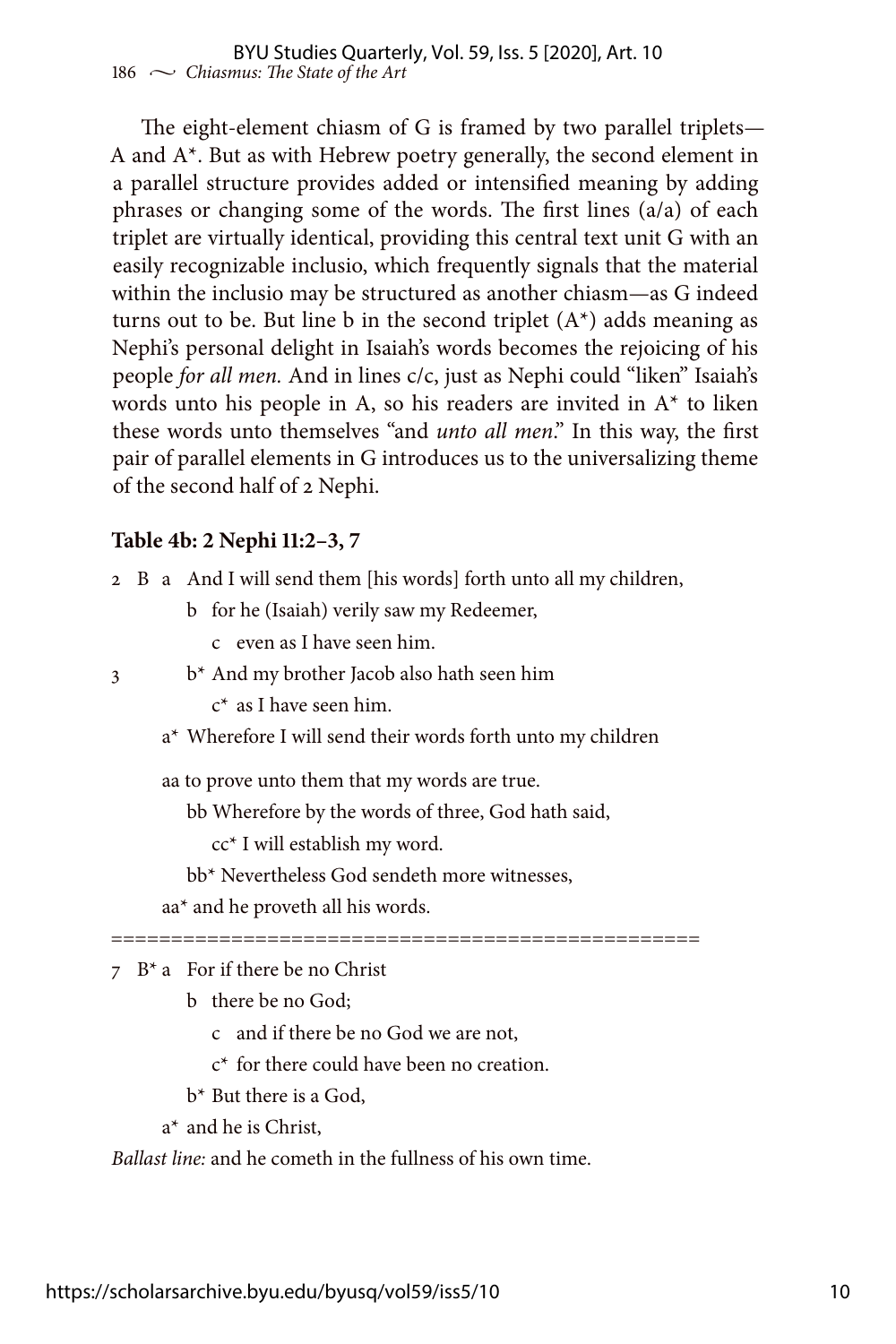The eight-element chiasm of G is framed by two parallel triplets— A and A\*. But as with Hebrew poetry generally, the second element in a parallel structure provides added or intensified meaning by adding phrases or changing some of the words. The first lines (a/a) of each triplet are virtually identical, providing this central text unit G with an easily recognizable inclusio, which frequently signals that the material within the inclusio may be structured as another chiasm—as G indeed turns out to be. But line b in the second triplet  $(A^*)$  adds meaning as Nephi's personal delight in Isaiah's words becomes the rejoicing of his people *for all men.* And in lines c/c, just as Nephi could "liken" Isaiah's words unto his people in A, so his readers are invited in A\* to liken these words unto themselves "and *unto all men*." In this way, the first pair of parallel elements in G introduces us to the universalizing theme of the second half of 2 Nephi.

#### **Table 4b: 2 Nephi 11:2–3, 7**

| 2 B a And I will send them [his words] forth unto all my children, |  |
|--------------------------------------------------------------------|--|
|--------------------------------------------------------------------|--|

b for he (Isaiah) verily saw my Redeemer,

c even as I have seen him.

- 3 b\* And my brother Jacob also hath seen him
	- c\* as I have seen him.
	- a\* Wherefore I will send their words forth unto my children

aa to prove unto them that my words are true.

bb Wherefore by the words of three, God hath said,

cc\* I will establish my word.

bb\* Nevertheless God sendeth more witnesses,

aa\* and he proveth all his words.

=================================================

 $7 \cdot B^*$  a For if there be no Christ

b there be no God;

c and if there be no God we are not,

c\* for there could have been no creation.

b\* But there is a God,

a\* and he is Christ,

*Ballast line:* and he cometh in the fullness of his own time.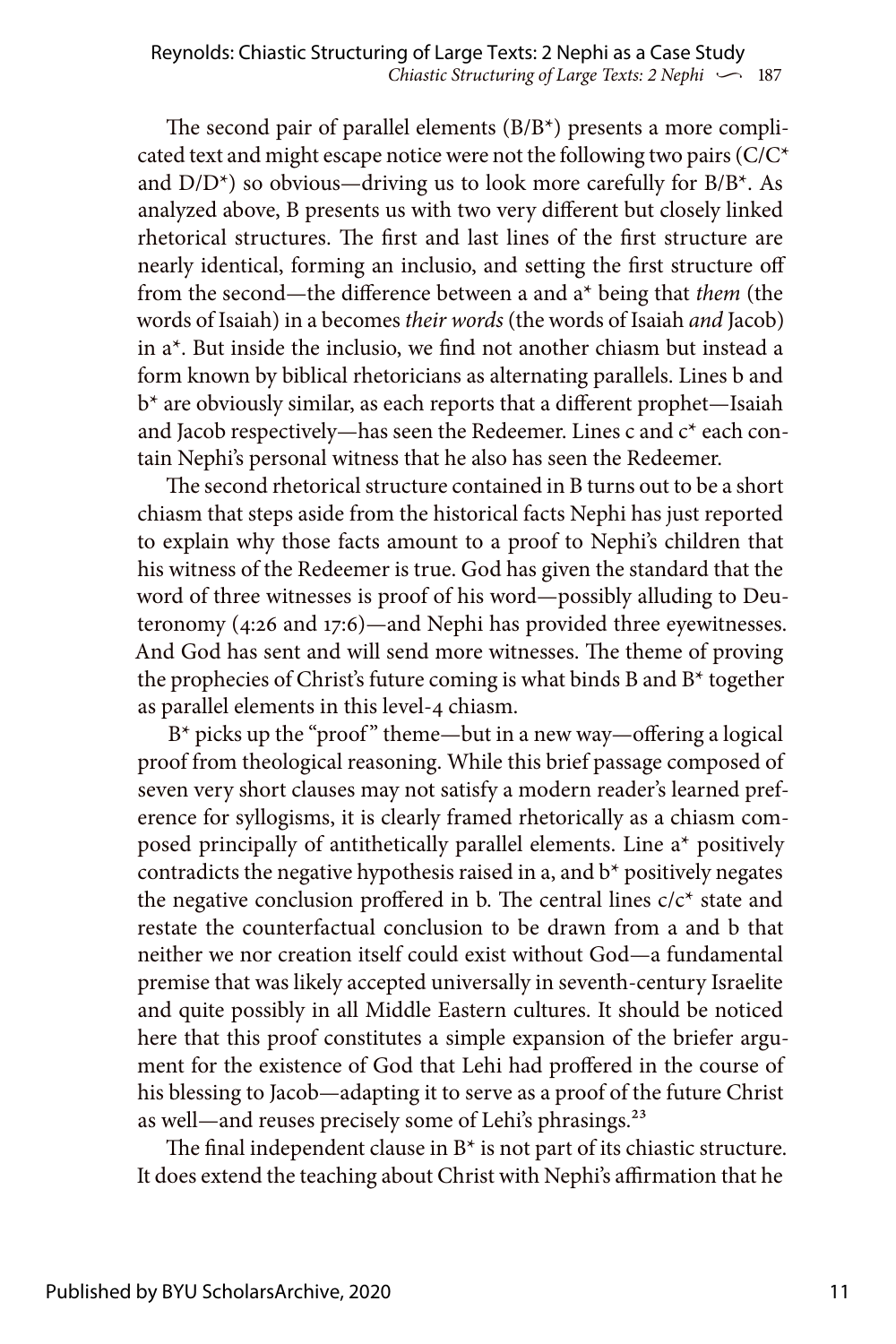The second pair of parallel elements (B/B\*) presents a more complicated text and might escape notice were not the following two pairs  $(C/C^*)$ and  $D/D^*$ ) so obvious—driving us to look more carefully for  $B/B^*$ . As analyzed above, B presents us with two very different but closely linked rhetorical structures. The first and last lines of the first structure are nearly identical, forming an inclusio, and setting the first structure off from the second—the difference between a and a\* being that *them* (the words of Isaiah) in a becomes *their words* (the words of Isaiah *and* Jacob) in a\*. But inside the inclusio, we find not another chiasm but instead a form known by biblical rhetoricians as alternating parallels. Lines b and b\* are obviously similar, as each reports that a different prophet—Isaiah and Jacob respectively—has seen the Redeemer. Lines c and c\* each contain Nephi's personal witness that he also has seen the Redeemer.

The second rhetorical structure contained in B turns out to be a short chiasm that steps aside from the historical facts Nephi has just reported to explain why those facts amount to a proof to Nephi's children that his witness of the Redeemer is true. God has given the standard that the word of three witnesses is proof of his word—possibly alluding to Deuteronomy (4:26 and 17:6)—and Nephi has provided three eyewitnesses. And God has sent and will send more witnesses. The theme of proving the prophecies of Christ's future coming is what binds B and B\* together as parallel elements in this level-4 chiasm.

 $B^*$  picks up the "proof" theme—but in a new way—offering a logical proof from theological reasoning. While this brief passage composed of seven very short clauses may not satisfy a modern reader's learned preference for syllogisms, it is clearly framed rhetorically as a chiasm composed principally of antithetically parallel elements. Line a\* positively contradicts the negative hypothesis raised in a, and b\* positively negates the negative conclusion proffered in b. The central lines  $c/c^*$  state and restate the counterfactual conclusion to be drawn from a and b that neither we nor creation itself could exist without God—a fundamental premise that was likely accepted universally in seventh-century Israelite and quite possibly in all Middle Eastern cultures. It should be noticed here that this proof constitutes a simple expansion of the briefer argument for the existence of God that Lehi had proffered in the course of his blessing to Jacob—adapting it to serve as a proof of the future Christ as well—and reuses precisely some of Lehi's phrasings.<sup>23</sup>

The final independent clause in B\* is not part of its chiastic structure. It does extend the teaching about Christ with Nephi's affirmation that he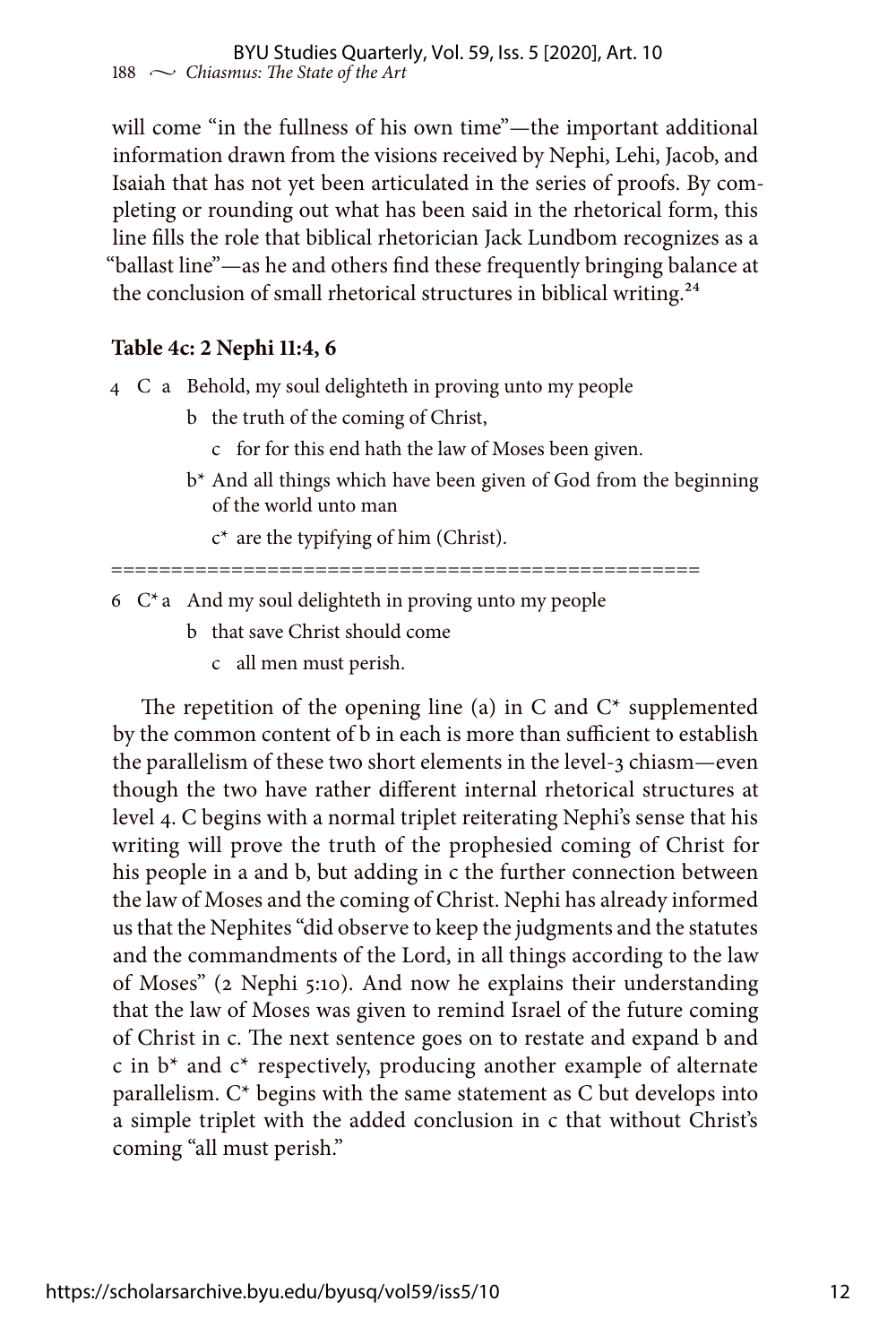will come "in the fullness of his own time"—the important additional information drawn from the visions received by Nephi, Lehi, Jacob, and Isaiah that has not yet been articulated in the series of proofs. By completing or rounding out what has been said in the rhetorical form, this line fills the role that biblical rhetorician Jack Lundbom recognizes as a "ballast line"—as he and others find these frequently bringing balance at the conclusion of small rhetorical structures in biblical writing.<sup>24</sup>

# **Table 4c: 2 Nephi 11:4, 6**

- 4 C a Behold, my soul delighteth in proving unto my people
	- b the truth of the coming of Christ,
		- c for for this end hath the law of Moses been given.
	- b\* And all things which have been given of God from the beginning of the world unto man
		- $c^*$  are the typifying of him (Christ).

=================================================

- $6 \,$  C<sup>\*</sup> a And my soul delighteth in proving unto my people
	- b that save Christ should come
		- c all men must perish.

The repetition of the opening line (a) in C and  $C^*$  supplemented by the common content of b in each is more than sufficient to establish the parallelism of these two short elements in the level-3 chiasm—even though the two have rather different internal rhetorical structures at level 4. C begins with a normal triplet reiterating Nephi's sense that his writing will prove the truth of the prophesied coming of Christ for his people in a and b, but adding in c the further connection between the law of Moses and the coming of Christ. Nephi has already informed us that the Nephites "did observe to keep the judgments and the statutes and the commandments of the Lord, in all things according to the law of Moses" (2 Nephi 5:10). And now he explains their understanding that the law of Moses was given to remind Israel of the future coming of Christ in c. The next sentence goes on to restate and expand b and c in  $b^*$  and  $c^*$  respectively, producing another example of alternate parallelism. C\* begins with the same statement as C but develops into a simple triplet with the added conclusion in c that without Christ's coming "all must perish."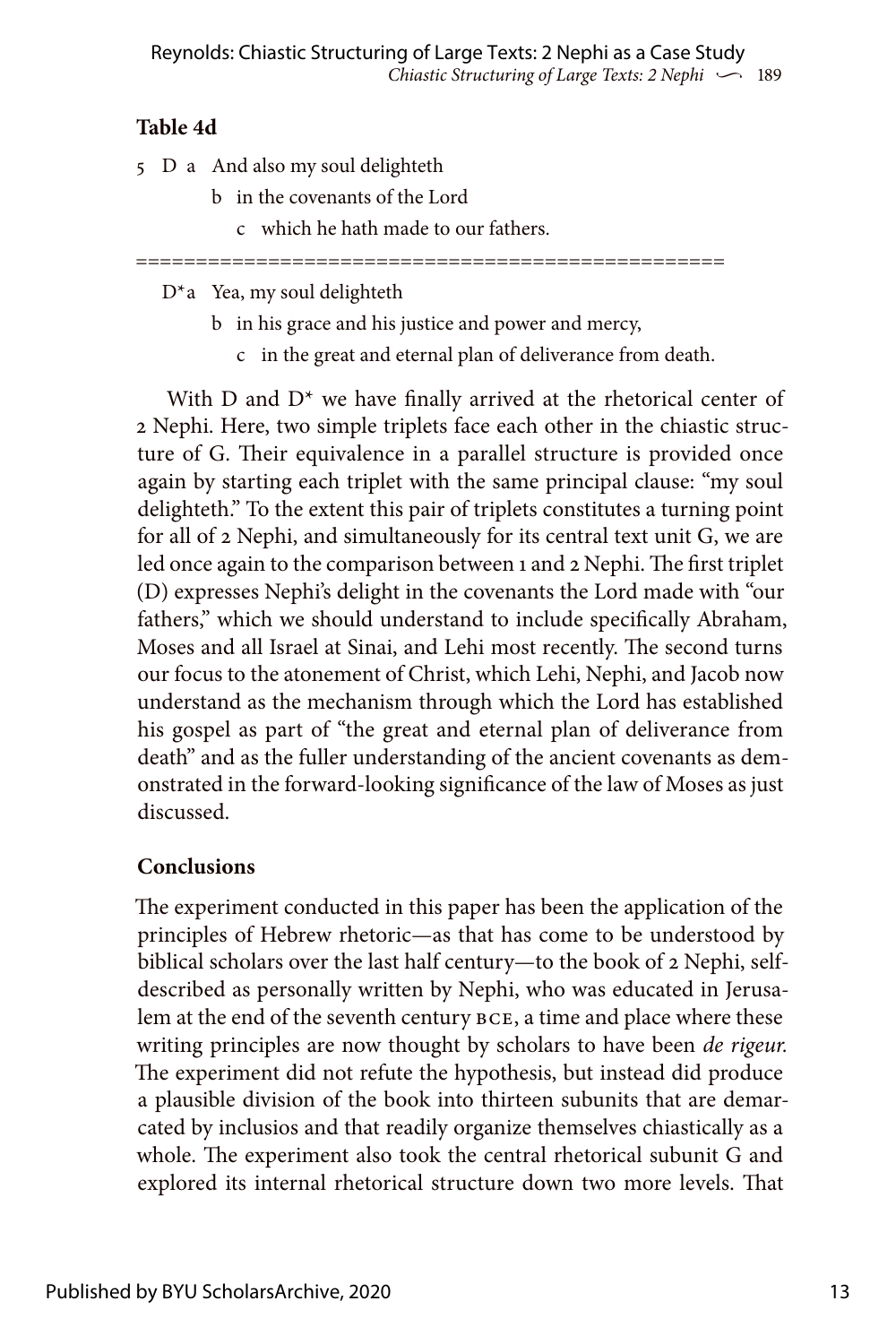# **Table 4d**

- 5 D a And also my soul delighteth
	- b in the covenants of the Lord
		- c which he hath made to our fathers.

=================================================

D\*a Yea, my soul delighteth

- b in his grace and his justice and power and mercy,
	- c in the great and eternal plan of deliverance from death.

With D and D\* we have finally arrived at the rhetorical center of 2 Nephi. Here, two simple triplets face each other in the chiastic structure of G. Their equivalence in a parallel structure is provided once again by starting each triplet with the same principal clause: "my soul delighteth." To the extent this pair of triplets constitutes a turning point for all of 2 Nephi, and simultaneously for its central text unit G, we are led once again to the comparison between 1 and 2 Nephi. The first triplet (D) expresses Nephi's delight in the covenants the Lord made with "our fathers," which we should understand to include specifically Abraham, Moses and all Israel at Sinai, and Lehi most recently. The second turns our focus to the atonement of Christ, which Lehi, Nephi, and Jacob now understand as the mechanism through which the Lord has established his gospel as part of "the great and eternal plan of deliverance from death" and as the fuller understanding of the ancient covenants as demonstrated in the forward-looking significance of the law of Moses as just discussed.

# **Conclusions**

The experiment conducted in this paper has been the application of the principles of Hebrew rhetoric—as that has come to be understood by biblical scholars over the last half century—to the book of 2 Nephi, selfdescribed as personally written by Nephi, who was educated in Jerusalem at the end of the seventh century BCE, a time and place where these writing principles are now thought by scholars to have been *de rigeur.* The experiment did not refute the hypothesis, but instead did produce a plausible division of the book into thirteen subunits that are demarcated by inclusios and that readily organize themselves chiastically as a whole. The experiment also took the central rhetorical subunit G and explored its internal rhetorical structure down two more levels. That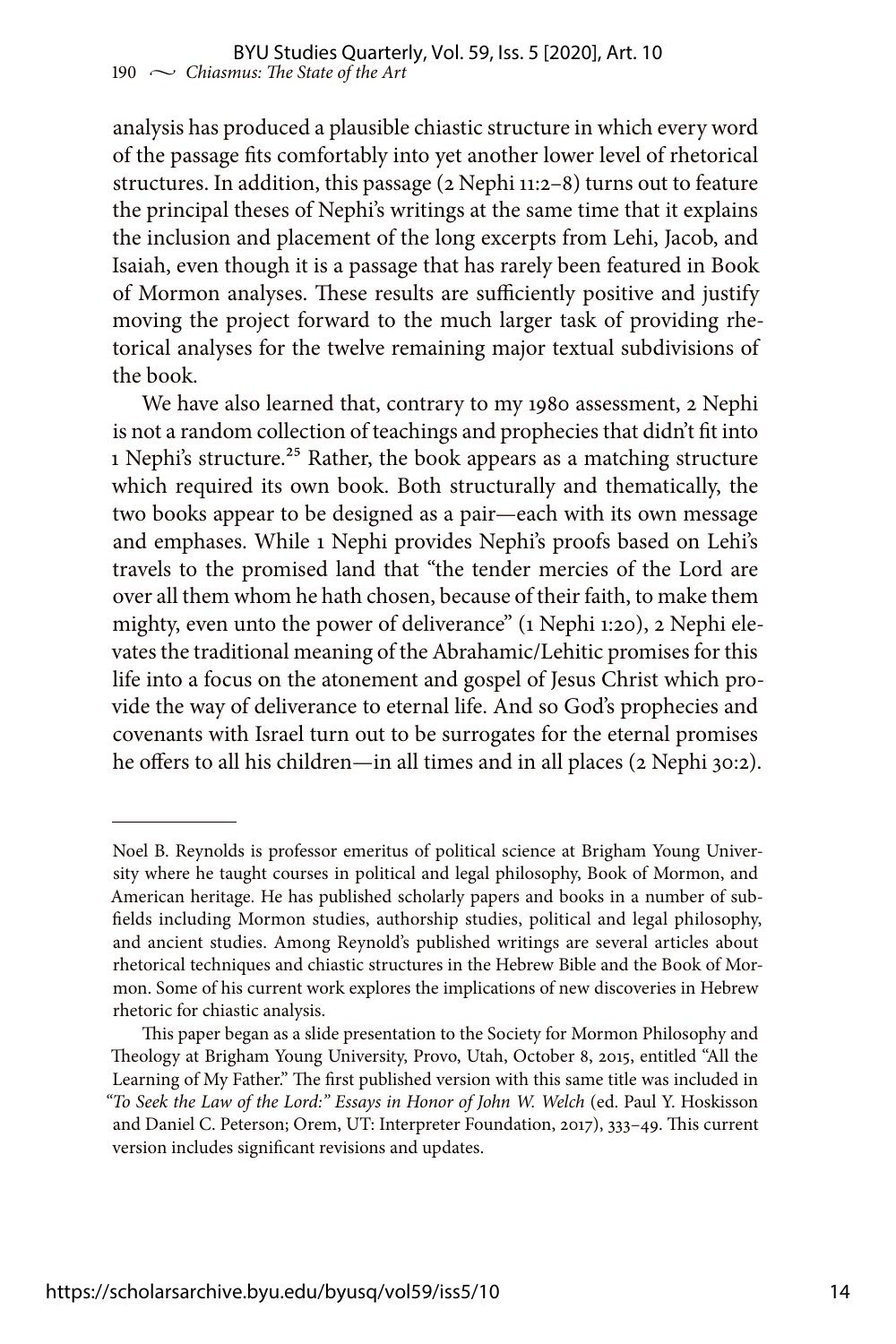analysis has produced a plausible chiastic structure in which every word of the passage fits comfortably into yet another lower level of rhetorical structures. In addition, this passage (2 Nephi 11:2–8) turns out to feature the principal theses of Nephi's writings at the same time that it explains the inclusion and placement of the long excerpts from Lehi, Jacob, and Isaiah, even though it is a passage that has rarely been featured in Book of Mormon analyses. These results are sufficiently positive and justify moving the project forward to the much larger task of providing rhetorical analyses for the twelve remaining major textual subdivisions of the book.

We have also learned that, contrary to my 1980 assessment, 2 Nephi is not a random collection of teachings and prophecies that didn't fit into 1 Nephi's structure.25 Rather, the book appears as a matching structure which required its own book. Both structurally and thematically, the two books appear to be designed as a pair—each with its own message and emphases. While 1 Nephi provides Nephi's proofs based on Lehi's travels to the promised land that "the tender mercies of the Lord are over all them whom he hath chosen, because of their faith, to make them mighty, even unto the power of deliverance" (1 Nephi 1:20), 2 Nephi elevates the traditional meaning of the Abrahamic/Lehitic promises for this life into a focus on the atonement and gospel of Jesus Christ which provide the way of deliverance to eternal life. And so God's prophecies and covenants with Israel turn out to be surrogates for the eternal promises he offers to all his children—in all times and in all places (2 Nephi 30:2).

Noel B. Reynolds is professor emeritus of political science at Brigham Young University where he taught courses in political and legal philosophy, Book of Mormon, and American heritage. He has published scholarly papers and books in a number of subfields including Mormon studies, authorship studies, political and legal philosophy, and ancient studies. Among Reynold's published writings are several articles about rhetorical techniques and chiastic structures in the Hebrew Bible and the Book of Mormon. Some of his current work explores the implications of new discoveries in Hebrew rhetoric for chiastic analysis.

This paper began as a slide presentation to the Society for Mormon Philosophy and Theology at Brigham Young University, Provo, Utah, October 8, 2015, entitled "All the Learning of My Father." The first published version with this same title was included in *"To Seek the Law of the Lord:" Essays in Honor of John W. Welch* (ed. Paul Y. Hoskisson and Daniel C. Peterson; Orem, UT: Interpreter Foundation, 2017), 333–49. This current version includes significant revisions and updates.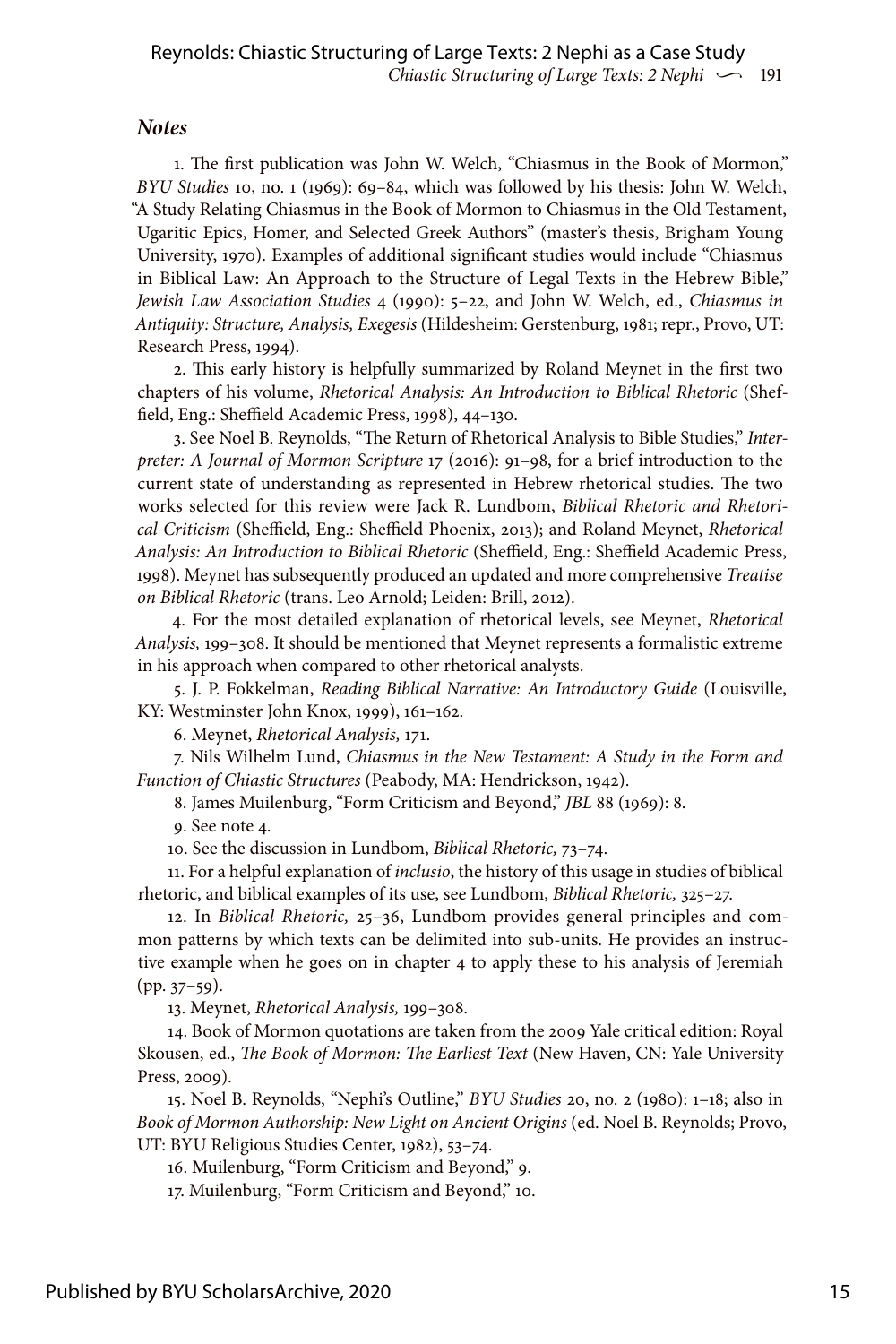#### *Notes*

1. The first publication was John W. Welch, "Chiasmus in the Book of Mormon," *BYU Studies* 10, no. 1 (1969): 69–84, which was followed by his thesis: John W. Welch, "A Study Relating Chiasmus in the Book of Mormon to Chiasmus in the Old Testament, Ugaritic Epics, Homer, and Selected Greek Authors" (master's thesis, Brigham Young University, 1970). Examples of additional significant studies would include "Chiasmus in Biblical Law: An Approach to the Structure of Legal Texts in the Hebrew Bible," *Jewish Law Association Studies* 4 (1990): 5–22, and John W. Welch, ed., *Chiasmus in Antiquity: Structure, Analysis, Exegesis* (Hildesheim: Gerstenburg, 1981; repr., Provo, UT: Research Press, 1994).

2. This early history is helpfully summarized by Roland Meynet in the first two chapters of his volume, *Rhetorical Analysis: An Introduction to Biblical Rhetoric* (Sheffield, Eng.: Sheffield Academic Press, 1998), 44–130.

3. See Noel B. Reynolds, "The Return of Rhetorical Analysis to Bible Studies," *Interpreter: A Journal of Mormon Scripture* 17 (2016): 91–98, for a brief introduction to the current state of understanding as represented in Hebrew rhetorical studies. The two works selected for this review were Jack R. Lundbom, *Biblical Rhetoric and Rhetorical Criticism* (Sheffield, Eng.: Sheffield Phoenix, 2013); and Roland Meynet, *Rhetorical Analysis: An Introduction to Biblical Rhetoric* (Sheffield, Eng.: Sheffield Academic Press, 1998). Meynet has subsequently produced an updated and more comprehensive *Treatise on Biblical Rhetoric* (trans. Leo Arnold; Leiden: Brill, 2012).

4. For the most detailed explanation of rhetorical levels, see Meynet, *Rhetorical Analysis,* 199–308. It should be mentioned that Meynet represents a formalistic extreme in his approach when compared to other rhetorical analysts.

5. J. P. Fokkelman, *Reading Biblical Narrative: An Introductory Guide* (Louisville, KY: Westminster John Knox, 1999), 161–162.

6. Meynet, *Rhetorical Analysis,* 171.

7. Nils Wilhelm Lund, *Chiasmus in the New Testament: A Study in the Form and Function of Chiastic Structures* (Peabody, MA: Hendrickson, 1942).

8. James Muilenburg, "Form Criticism and Beyond," *JBL* 88 (1969): 8.

9. See note 4.

10. See the discussion in Lundbom, *Biblical Rhetoric,* 73–74.

11. For a helpful explanation of *inclusio*, the history of this usage in studies of biblical rhetoric, and biblical examples of its use, see Lundbom, *Biblical Rhetoric,* 325–27.

12. In *Biblical Rhetoric,* 25–36, Lundbom provides general principles and common patterns by which texts can be delimited into sub-units. He provides an instructive example when he goes on in chapter 4 to apply these to his analysis of Jeremiah  $(pp. 37-59).$ 

13. Meynet, *Rhetorical Analysis,* 199–308.

14. Book of Mormon quotations are taken from the 2009 Yale critical edition: Royal Skousen, ed., *The Book of Mormon: The Earliest Text* (New Haven, CN: Yale University Press, 2009).

15. Noel B. Reynolds, "Nephi's Outline," *BYU Studies* 20, no. 2 (1980): 1–18; also in *Book of Mormon Authorship: New Light on Ancient Origins* (ed. Noel B. Reynolds; Provo, UT: BYU Religious Studies Center, 1982), 53–74.

16. Muilenburg, "Form Criticism and Beyond," 9.

17. Muilenburg, "Form Criticism and Beyond," 10.